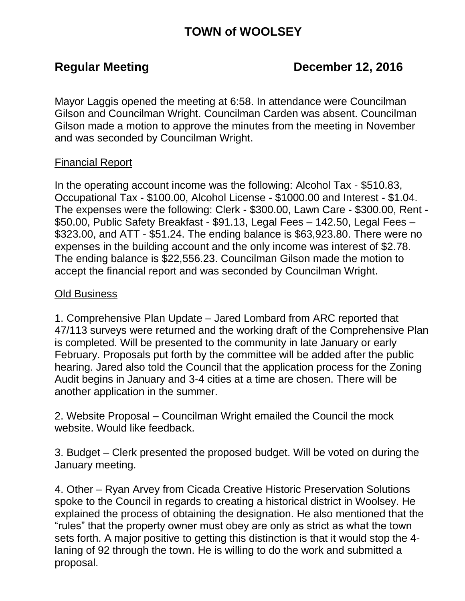# **TOWN of WOOLSEY**

## Regular Meeting **December 12, 2016**

Mayor Laggis opened the meeting at 6:58. In attendance were Councilman Gilson and Councilman Wright. Councilman Carden was absent. Councilman Gilson made a motion to approve the minutes from the meeting in November and was seconded by Councilman Wright.

### Financial Report

In the operating account income was the following: Alcohol Tax - \$510.83, Occupational Tax - \$100.00, Alcohol License - \$1000.00 and Interest - \$1.04. The expenses were the following: Clerk - \$300.00, Lawn Care - \$300.00, Rent - \$50.00, Public Safety Breakfast - \$91.13, Legal Fees – 142.50, Legal Fees – \$323.00, and ATT - \$51.24. The ending balance is \$63,923.80. There were no expenses in the building account and the only income was interest of \$2.78. The ending balance is \$22,556.23. Councilman Gilson made the motion to accept the financial report and was seconded by Councilman Wright.

#### Old Business

1. Comprehensive Plan Update – Jared Lombard from ARC reported that 47/113 surveys were returned and the working draft of the Comprehensive Plan is completed. Will be presented to the community in late January or early February. Proposals put forth by the committee will be added after the public hearing. Jared also told the Council that the application process for the Zoning Audit begins in January and 3-4 cities at a time are chosen. There will be another application in the summer.

2. Website Proposal – Councilman Wright emailed the Council the mock website. Would like feedback.

3. Budget – Clerk presented the proposed budget. Will be voted on during the January meeting.

4. Other – Ryan Arvey from Cicada Creative Historic Preservation Solutions spoke to the Council in regards to creating a historical district in Woolsey. He explained the process of obtaining the designation. He also mentioned that the "rules" that the property owner must obey are only as strict as what the town sets forth. A major positive to getting this distinction is that it would stop the 4 laning of 92 through the town. He is willing to do the work and submitted a proposal.